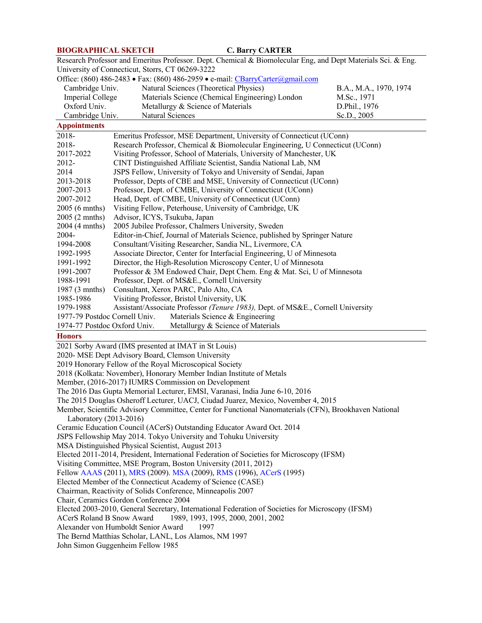# **BIOGRAPHICAL SKETCH C. Barry CARTER**

| $\mathbf{v}$ , $\mathbf{v}$ and $\mathbf{v}$                                                                                                                     |                                                                                                                                                         |                        |
|------------------------------------------------------------------------------------------------------------------------------------------------------------------|---------------------------------------------------------------------------------------------------------------------------------------------------------|------------------------|
| Research Professor and Emeritus Professor. Dept. Chemical & Biomolecular Eng, and Dept Materials Sci. & Eng.<br>University of Connecticut, Storrs, CT 06269-3222 |                                                                                                                                                         |                        |
|                                                                                                                                                                  | Office: (860) 486-2483 • Fax: (860) 486-2959 • e-mail: CBarryCarter@gmail.com                                                                           |                        |
| Cambridge Univ.                                                                                                                                                  | Natural Sciences (Theoretical Physics)                                                                                                                  | B.A., M.A., 1970, 1974 |
| Imperial College                                                                                                                                                 | Materials Science (Chemical Engineering) London                                                                                                         | M.Sc., 1971            |
| Oxford Univ.                                                                                                                                                     | Metallurgy & Science of Materials                                                                                                                       | D.Phil., 1976          |
|                                                                                                                                                                  | Natural Sciences                                                                                                                                        | Sc.D., 2005            |
| Cambridge Univ.<br><b>Appointments</b>                                                                                                                           |                                                                                                                                                         |                        |
| 2018-<br>Emeritus Professor, MSE Department, University of Connecticut (UConn)                                                                                   |                                                                                                                                                         |                        |
| 2018-                                                                                                                                                            |                                                                                                                                                         |                        |
|                                                                                                                                                                  | Research Professor, Chemical & Biomolecular Engineering, U Connecticut (UConn)<br>Visiting Professor, School of Materials, University of Manchester, UK |                        |
| 2017-2022                                                                                                                                                        |                                                                                                                                                         |                        |
| 2012-                                                                                                                                                            | CINT Distinguished Affiliate Scientist, Sandia National Lab, NM                                                                                         |                        |
| 2014                                                                                                                                                             | JSPS Fellow, University of Tokyo and University of Sendai, Japan                                                                                        |                        |
| 2013-2018                                                                                                                                                        | Professor, Depts of CBE and MSE, University of Connecticut (UConn)                                                                                      |                        |
| 2007-2013                                                                                                                                                        | Professor, Dept. of CMBE, University of Connecticut (UConn)                                                                                             |                        |
| 2007-2012                                                                                                                                                        | Head, Dept. of CMBE, University of Connecticut (UConn)                                                                                                  |                        |
| 2005 (6 mnths)                                                                                                                                                   | Visiting Fellow, Peterhouse, University of Cambridge, UK                                                                                                |                        |
| 2005 (2 mnths)                                                                                                                                                   | Advisor, ICYS, Tsukuba, Japan                                                                                                                           |                        |
| 2004 (4 mnths)                                                                                                                                                   | 2005 Jubilee Professor, Chalmers University, Sweden                                                                                                     |                        |
| 2004-                                                                                                                                                            | Editor-in-Chief, Journal of Materials Science, published by Springer Nature                                                                             |                        |
| 1994-2008                                                                                                                                                        | Consultant/Visiting Researcher, Sandia NL, Livermore, CA                                                                                                |                        |
| 1992-1995                                                                                                                                                        | Associate Director, Center for Interfacial Engineering, U of Minnesota                                                                                  |                        |
| 1991-1992                                                                                                                                                        | Director, the High-Resolution Microscopy Center, U of Minnesota                                                                                         |                        |
| 1991-2007                                                                                                                                                        | Professor & 3M Endowed Chair, Dept Chem. Eng & Mat. Sci, U of Minnesota                                                                                 |                        |
| 1988-1991                                                                                                                                                        | Professor, Dept. of MS&E., Cornell University                                                                                                           |                        |
| 1987 (3 mnths)                                                                                                                                                   | Consultant, Xerox PARC, Palo Alto, CA                                                                                                                   |                        |
| 1985-1986                                                                                                                                                        | Visiting Professor, Bristol University, UK                                                                                                              |                        |
| 1979-1988                                                                                                                                                        | Assistant/Associate Professor (Tenure 1983), Dept. of MS&E., Cornell University                                                                         |                        |
| Materials Science & Engineering<br>1977-79 Postdoc Cornell Univ.                                                                                                 |                                                                                                                                                         |                        |
| 1974-77 Postdoc Oxford Univ.<br>Metallurgy & Science of Materials                                                                                                |                                                                                                                                                         |                        |
| <b>Honors</b>                                                                                                                                                    |                                                                                                                                                         |                        |
| 2021 Sorby Award (IMS presented at IMAT in St Louis)                                                                                                             |                                                                                                                                                         |                        |
| 2020- MSE Dept Advisory Board, Clemson University                                                                                                                |                                                                                                                                                         |                        |
| 2019 Honorary Fellow of the Royal Microscopical Society                                                                                                          |                                                                                                                                                         |                        |
| 2018 (Kolkata: November), Honorary Member Indian Institute of Metals                                                                                             |                                                                                                                                                         |                        |
| Member, (2016-2017) IUMRS Commission on Development                                                                                                              |                                                                                                                                                         |                        |
| The 2016 Das Gupta Memorial Lecturer, EMSI, Varanasi, India June 6-10, 2016                                                                                      |                                                                                                                                                         |                        |
| The 2015 Douglas Osheroff Lecturer, UACJ, Ciudad Juarez, Mexico, November 4, 2015                                                                                |                                                                                                                                                         |                        |
| Member, Scientific Advisory Committee, Center for Functional Nanomaterials (CFN), Brookhaven National                                                            |                                                                                                                                                         |                        |
| Laboratory (2013-2016)                                                                                                                                           |                                                                                                                                                         |                        |
| Ceramic Education Council (ACerS) Outstanding Educator Award Oct. 2014                                                                                           |                                                                                                                                                         |                        |
| JSPS Fellowship May 2014. Tokyo University and Tohuku University                                                                                                 |                                                                                                                                                         |                        |
| MSA Distinguished Physical Scientist, August 2013                                                                                                                |                                                                                                                                                         |                        |
| Elected 2011-2014, President, International Federation of Societies for Microscopy (IFSM)                                                                        |                                                                                                                                                         |                        |
| Visiting Committee, MSE Program, Boston University (2011, 2012)                                                                                                  |                                                                                                                                                         |                        |
| Fellow AAAS (2011), MRS (2009). MSA (2009), RMS (1996), ACerS (1995)                                                                                             |                                                                                                                                                         |                        |
| Elected Member of the Connecticut Academy of Science (CASE)                                                                                                      |                                                                                                                                                         |                        |
|                                                                                                                                                                  |                                                                                                                                                         |                        |
| Chairman, Reactivity of Solids Conference, Minneapolis 2007<br>Chair, Ceramics Gordon Conference 2004                                                            |                                                                                                                                                         |                        |
|                                                                                                                                                                  |                                                                                                                                                         |                        |
| Elected 2003-2010, General Secretary, International Federation of Societies for Microscopy (IFSM)                                                                |                                                                                                                                                         |                        |
| 1989, 1993, 1995, 2000, 2001, 2002<br>ACerS Roland B Snow Award                                                                                                  |                                                                                                                                                         |                        |
| Alexander von Humboldt Senior Award<br>1997                                                                                                                      |                                                                                                                                                         |                        |
| The Bernd Matthias Scholar, LANL, Los Alamos, NM 1997                                                                                                            |                                                                                                                                                         |                        |
| John Simon Guggenheim Fellow 1985                                                                                                                                |                                                                                                                                                         |                        |
|                                                                                                                                                                  |                                                                                                                                                         |                        |